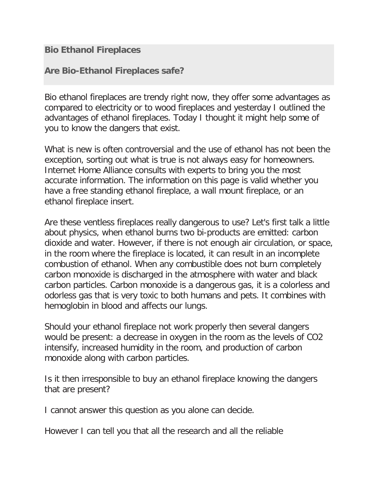**Bio Ethanol Fireplaces**

**Are Bio-Ethanol Fireplaces safe?**

Bio ethanol fireplaces are trendy right now, they offer some advantages as compared to electricity or to wood fireplaces and yesterday I outlined the advantages of ethanol fireplaces. Today I thought it might help some of you to know the dangers that exist.

What is new is often controversial and the use of ethanol has not been the exception, sorting out what is true is not always easy for homeowners. Internet Home Alliance consults with experts to bring you the most accurate information. The information on this page is valid whether you have a free standing ethanol fireplace, a wall mount fireplace, or an ethanol fireplace insert.

Are these ventless fireplaces really dangerous to use? Let's first talk a little about physics, when ethanol burns two bi-products are emitted: carbon dioxide and water. However, if there is not enough air circulation, or space, in the room where the fireplace is located, it can result in an incomplete combustion of ethanol. When any combustible does not burn completely carbon monoxide is discharged in the atmosphere with water and black carbon particles. Carbon monoxide is a dangerous gas, it is a colorless and odorless gas that is very toxic to both humans and pets. It combines with hemoglobin in blood and affects our lungs.

Should your ethanol fireplace not work properly then several dangers would be present: a decrease in oxygen in the room as the levels of CO2 intensify, increased humidity in the room, and production of carbon monoxide along with carbon particles.

Is it then irresponsible to buy an ethanol fireplace knowing the dangers that are present?

I cannot answer this question as you alone can decide.

However I can tell you that all the research and all the reliable